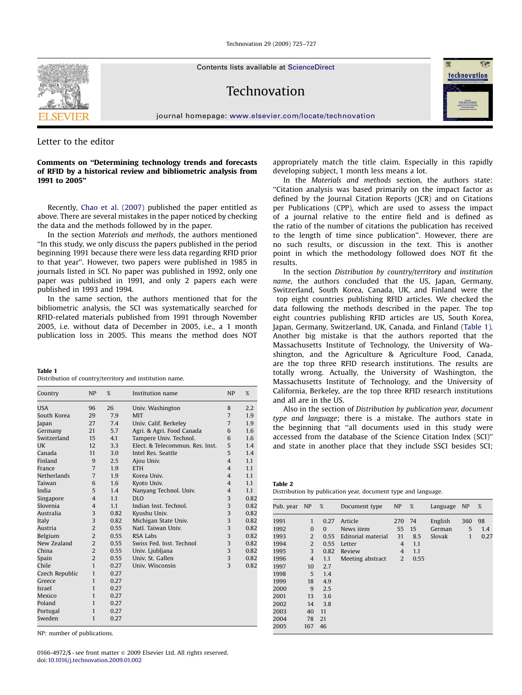Technovation 29 (2009) 725–727

<span id="page-0-0"></span>

Contents lists available at [ScienceDirect](www.sciencedirect.com/science/journal/tech)

Technovation

journal homepage: <www.elsevier.com/locate/technovation>

# Letter to the editor

## Comments on ''Determining technology trends and forecasts of RFID by a historical review and bibliometric analysis from 1991 to 2005''

Recently, [Chao et al. \(2007\)](#page-2-0) published the paper entitled as above. There are several mistakes in the paper noticed by checking the data and the methods followed by in the paper.

In the section Materials and methods, the authors mentioned ''In this study, we only discuss the papers published in the period beginning 1991 because there were less data regarding RFID prior to that year''. However, two papers were published in 1985 in journals listed in SCI. No paper was published in 1992, only one paper was published in 1991, and only 2 papers each were published in 1993 and 1994.

In the same section, the authors mentioned that for the bibliometric analysis, the SCI was systematically searched for RFID-related materials published from 1991 through November 2005, i.e. without data of December in 2005, i.e., a 1 month publication loss in 2005. This means the method does NOT

#### Table 1

Distribution of country/territory and institution name.

| Country        | NP             | %    | Institution name                | <b>NP</b>      | %    |
|----------------|----------------|------|---------------------------------|----------------|------|
| <b>USA</b>     | 96             | 26   | Univ. Washington                | 8              | 2.2  |
| South Korea    | 29             | 7.9  | <b>MIT</b>                      | $\overline{7}$ | 1.9  |
| Japan          | 27             | 7.4  | Univ. Calif. Berkeley           | $\overline{7}$ | 1.9  |
| Germany        | 21             | 5.7  | Agri. & Agri. Food Canada       | 6              | 1.6  |
| Switzerland    | 15             | 4.1  | Tampere Univ. Technol.          | 6              | 1.6  |
| UK             | 12             | 3.3  | Elect. & Telecommun. Res. Inst. | 5              | 1.4  |
| Canada         | 11             | 3.0  | Intel Res. Seattle              | 5              | 1.4  |
| Finland        | 9              | 2.5  | Ajou Univ.                      | $\overline{4}$ | 1.1  |
| France         | $\overline{7}$ | 1.9  | <b>ETH</b>                      | $\overline{4}$ | 1.1  |
| Netherlands    | $\overline{7}$ | 1.9  | Korea Univ.                     | 4              | 1.1  |
| Taiwan         | 6              | 1.6  | Kyoto Univ.                     | $\overline{4}$ | 1.1  |
| India          | 5              | 1.4  | Nanyang Technol. Univ.          | $\overline{4}$ | 1.1  |
| Singapore      | $\overline{4}$ | 1.1  | DI.O                            | 3              | 0.82 |
| Slovenia       | $\overline{4}$ | 1.1  | Indian Inst. Technol.           | 3              | 0.82 |
| Australia      | 3              | 0.82 | Kyushu Univ.                    | 3              | 0.82 |
| Italy          | 3              | 0.82 | Michigan State Univ.            | 3              | 0.82 |
| Austria        | $\overline{2}$ | 0.55 | Natl. Taiwan Univ.              | 3              | 0.82 |
| Belgium        | $\overline{2}$ | 0.55 | RSA Labs                        | 3              | 0.82 |
| New Zealand    | $\overline{2}$ | 0.55 | Swiss Fed. Inst. Technol        | 3              | 0.82 |
| China          | $\overline{2}$ | 0.55 | Univ. Ljubljana                 | 3              | 0.82 |
| Spain          | $\overline{2}$ | 0.55 | Univ. St. Gallen                | 3              | 0.82 |
| Chile          | $\mathbf{1}$   | 0.27 | Univ. Wisconsin                 | 3              | 0.82 |
| Czech Republic | $\mathbf{1}$   | 0.27 |                                 |                |      |
| Greece         | $\mathbf{1}$   | 0.27 |                                 |                |      |
| Israel         | $\mathbf{1}$   | 0.27 |                                 |                |      |
| Mexico         | $\mathbf{1}$   | 0.27 |                                 |                |      |
| Poland         | $\mathbf{1}$   | 0.27 |                                 |                |      |
| Portugal       | $\mathbf{1}$   | 0.27 |                                 |                |      |
| Sweden         | $\mathbf{1}$   | 0.27 |                                 |                |      |

NP: number of publications.

appropriately match the title claim. Especially in this rapidly developing subject, 1 month less means a lot.

综

technovation

In the Materials and methods section, the authors state: ''Citation analysis was based primarily on the impact factor as defined by the Journal Citation Reports (JCR) and on Citations per Publications (CPP), which are used to assess the impact of a journal relative to the entire field and is defined as the ratio of the number of citations the publication has received to the length of time since publication''. However, there are no such results, or discussion in the text. This is another point in which the methodology followed does NOT fit the results.

In the section Distribution by country/territory and institution name, the authors concluded that the US, Japan, Germany, Switzerland, South Korea, Canada, UK, and Finland were the top eight countries publishing RFID articles. We checked the data following the methods described in the paper. The top eight countries publishing RFID articles are US, South Korea, Japan, Germany, Switzerland, UK, Canada, and Finland (Table 1). Another big mistake is that the authors reported that the Massachusetts Institute of Technology, the University of Washington, and the Agriculture & Agriculture Food, Canada, are the top three RFID research institutions. The results are totally wrong. Actually, the University of Washington, the Massachusetts Institute of Technology, and the University of California, Berkeley, are the top three RFID research institutions and all are in the US.

Also in the section of Distribution by publication year, document type and language; there is a mistake. The authors state in the beginning that ''all documents used in this study were accessed from the database of the Science Citation Index (SCI)'' and state in another place that they include SSCI besides SCI;

| Table 2                                                       |
|---------------------------------------------------------------|
| Distribution by publication year, document type and language. |

| Pub. year | <b>NP</b>      | %        | Document type      | NP             | %    | Language | <b>NP</b>    | %    |
|-----------|----------------|----------|--------------------|----------------|------|----------|--------------|------|
| 1991      | 1              | 0.27     | Article            | 270            | 74   | English  | 360          | 98   |
| 1992      | $\bf{0}$       | $\Omega$ | News item          | 55             | 15   | German   | 5            | 1.4  |
| 1993      | $\overline{2}$ | 0.55     | Editorial material | 31             | 8.5  | Slovak   | $\mathbf{1}$ | 0.27 |
| 1994      | 2              | 0.55     | Letter             | $\overline{4}$ | 1.1  |          |              |      |
| 1995      | 3              | 0.82     | Review             | $\overline{4}$ | 1.1  |          |              |      |
| 1996      | $\overline{4}$ | 1.1      | Meeting abstract   | $\overline{2}$ | 0.55 |          |              |      |
| 1997      | 10             | 2.7      |                    |                |      |          |              |      |
| 1998      | 5              | 1.4      |                    |                |      |          |              |      |
| 1999      | 18             | 4.9      |                    |                |      |          |              |      |
| 2000      | 9              | 2.5      |                    |                |      |          |              |      |
| 2001      | 13             | 3.6      |                    |                |      |          |              |      |
| 2002      | 14             | 3.8      |                    |                |      |          |              |      |
| 2003      | 40             | 11       |                    |                |      |          |              |      |
| 2004      | 78             | 21       |                    |                |      |          |              |      |
| 2005      | 167            | 46       |                    |                |      |          |              |      |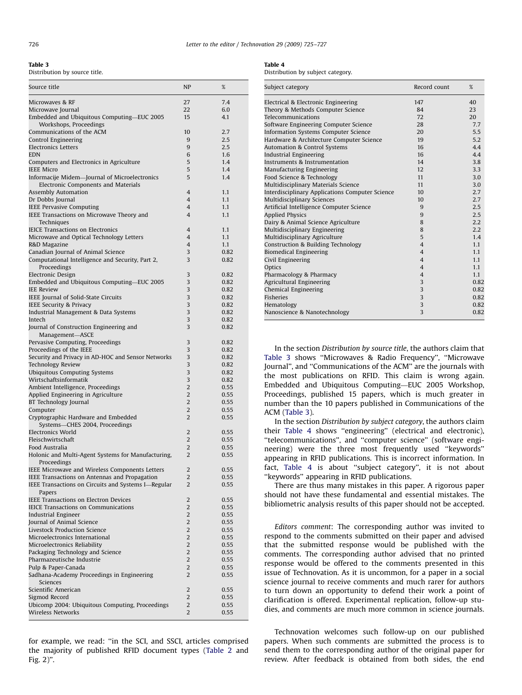#### Table 3

Distribution by source title.

| Source title                                                                         | NP                      | %            |
|--------------------------------------------------------------------------------------|-------------------------|--------------|
| Microwaves & RF                                                                      | 27                      | 7.4          |
| Microwave Journal                                                                    | 22                      | 6.0          |
| Embedded and Ubiquitous Computing-EUC 2005                                           | 15                      | 4.1          |
| Workshops, Proceedings                                                               |                         |              |
| Communications of the ACM                                                            | 10                      | 2.7          |
| Control Engineering                                                                  | 9                       | 2.5          |
| <b>Electronics Letters</b><br>EDN                                                    | 9<br>6                  | 2.5<br>1.6   |
| Computers and Electronics in Agriculture                                             | 5                       | 1.4          |
| <b>IEEE Micro</b>                                                                    | 5                       | 1.4          |
| Informacije Midem—Journal of Microelectronics                                        | 5                       | 1.4          |
| Electronic Components and Materials                                                  |                         |              |
| Assembly Automation                                                                  | $\overline{4}$          | 1.1          |
| Dr Dobbs Journal                                                                     | 4                       | 1.1          |
| <b>IEEE Pervasive Computing</b>                                                      | $\overline{4}$          | 1.1          |
| IEEE Transactions on Microwave Theory and                                            | $\overline{4}$          | 1.1          |
| Techniques                                                                           |                         |              |
| <b>IEICE Transactions on Electronics</b><br>Microwave and Optical Technology Letters | 4<br>$\overline{4}$     | 1.1<br>1.1   |
| R&D Magazine                                                                         | $\overline{4}$          | 1.1          |
| Canadian Journal of Animal Science                                                   | 3                       | 0.82         |
| Computational Intelligence and Security, Part 2,                                     | 3                       | 0.82         |
| Proceedings                                                                          |                         |              |
| Electronic Design                                                                    | 3                       | 0.82         |
| Embedded and Ubiquitous Computing-EUC 2005                                           | 3                       | 0.82         |
| <b>IEE Review</b>                                                                    | 3                       | 0.82         |
| IEEE Journal of Solid-State Circuits                                                 | 3                       | 0.82         |
| <b>IEEE Security &amp; Privacy</b>                                                   | 3<br>3                  | 0.82         |
| Industrial Management & Data Systems<br>Intech                                       | 3                       | 0.82<br>0.82 |
| Journal of Construction Engineering and                                              | 3                       | 0.82         |
| Management-ASCE                                                                      |                         |              |
| Pervasive Computing, Proceedings                                                     | 3                       | 0.82         |
| Proceedings of the IEEE                                                              | 3                       | 0.82         |
| Security and Privacy in AD-HOC and Sensor Networks                                   | 3                       | 0.82         |
| <b>Technology Review</b>                                                             | 3                       | 0.82         |
| <b>Ubiquitous Computing Systems</b>                                                  | 3                       | 0.82         |
| Wirtschaftsinformatik                                                                | 3<br>$\overline{2}$     | 0.82         |
| Ambient Intelligence, Proceedings<br>Applied Engineering in Agriculture              | $\overline{2}$          | 0.55<br>0.55 |
| BT Technology Journal                                                                | $\overline{2}$          | 0.55         |
| Computer                                                                             | $\overline{2}$          | 0.55         |
| Cryptographic Hardware and Embedded                                                  | $\overline{2}$          | 0.55         |
| Systems-CHES 2004, Proceedings                                                       |                         |              |
| <b>Electronics World</b>                                                             | 2                       | 0.55         |
| Fleischwirtschaft                                                                    | $\overline{2}$          | 0.55         |
| Food Australia                                                                       | $\overline{2}$          | 0.55         |
| Holonic and Multi-Agent Systems for Manufacturing,<br>Proceedings                    | 2                       | 0.55         |
| IEEE Microwave and Wireless Components Letters                                       | 2                       | 0.55         |
| IEEE Transactions on Antennas and Propagation                                        | $\overline{\mathbf{c}}$ | 0.55         |
| IEEE Transactions on Circuits and Systems I-Regular                                  | $\overline{2}$          | 0.55         |
| Papers                                                                               |                         |              |
| IEEE Transactions on Electron Devices                                                | $\overline{2}$          | 0.55         |
| <b>IEICE Transactions on Communications</b>                                          | 2                       | 0.55         |
| <b>Industrial Engineer</b>                                                           | $\overline{2}$          | 0.55         |
| Journal of Animal Science                                                            | $\overline{2}$          | 0.55         |
| <b>Livestock Production Science</b><br>Microelectronics International                | 2<br>$\overline{2}$     | 0.55         |
| Microelectronics Reliability                                                         | $\overline{2}$          | 0.55<br>0.55 |
| Packaging Technology and Science                                                     | $\overline{2}$          | 0.55         |
| Pharmazeutische Industrie                                                            | 2                       | 0.55         |
| Pulp & Paper-Canada                                                                  | $\overline{2}$          | 0.55         |
| Sadhana-Academy Proceedings in Engineering                                           | $\overline{2}$          | 0.55         |
| Sciences                                                                             |                         |              |
| Scientific American                                                                  | $\overline{2}$          | 0.55         |
| Sigmod Record                                                                        | $\overline{2}$          | 0.55         |
| Ubicomp 2004: Ubiquitous Computing, Proceedings                                      | $\overline{2}$          | 0.55         |
| Wireless Networks                                                                    | $\overline{2}$          | 0.55         |
|                                                                                      |                         |              |

for example, we read: ''in the SCI, and SSCI, articles comprised the majority of published RFID document types [\(Table 2](#page-0-0) and Fig. 2)''.

### Table 4

Distribution by subject category.

| Subject category                                | Record count   | %    |
|-------------------------------------------------|----------------|------|
| Electrical & Electronic Engineering             | 147            | 40   |
| Theory & Methods Computer Science               | 84             | 23   |
| Telecommunications                              | 72             | 20   |
| Software Engineering Computer Science           | 28             | 7.7  |
| Information Systems Computer Science            | 20             | 5.5  |
| Hardware & Architecture Computer Science        | 19             | 5.2  |
| <b>Automation &amp; Control Systems</b>         | 16             | 4.4  |
| Industrial Engineering                          | 16             | 4.4  |
| Instruments & Instrumentation                   | 14             | 3.8  |
| Manufacturing Engineering                       | 12             | 3.3  |
| Food Science & Technology                       | 11             | 3.0  |
| Multidisciplinary Materials Science             | 11             | 3.0  |
| Interdisciplinary Applications Computer Science | 10             | 2.7  |
| Multidisciplinary Sciences                      | 10             | 2.7  |
| Artificial Intelligence Computer Science        | 9              | 2.5  |
| <b>Applied Physics</b>                          | 9              | 2.5  |
| Dairy & Animal Science Agriculture              | 8              | 2.2  |
| Multidisciplinary Engineering                   | 8              | 2.2  |
| Multidisciplinary Agriculture                   | 5              | 1.4  |
| Construction & Building Technology              | $\overline{4}$ | 1.1  |
| <b>Biomedical Engineering</b>                   | $\overline{4}$ | 1.1  |
| Civil Engineering                               | $\overline{4}$ | 1.1  |
| Optics                                          | $\overline{4}$ | 1.1  |
| Pharmacology & Pharmacy                         | $\overline{4}$ | 1.1  |
| Agricultural Engineering                        | 3              | 0.82 |
| Chemical Engineering                            | 3              | 0.82 |
| <b>Fisheries</b>                                | 3              | 0.82 |
| Hematology                                      | 3              | 0.82 |
| Nanoscience & Nanotechnology                    | 3              | 0.82 |

In the section Distribution by source title, the authors claim that Table 3 shows ''Microwaves & Radio Frequency'', ''Microwave Journal'', and ''Communications of the ACM'' are the journals with the most publications on RFID. This claim is wrong again. Embedded and Ubiquitous Computing—EUC 2005 Workshop, Proceedings, published 15 papers, which is much greater in number than the 10 papers published in Communications of the ACM (Table 3).

In the section Distribution by subject category, the authors claim their Table 4 shows ''engineering'' (electrical and electronic), ''telecommunications'', and ''computer science'' (software engineering) were the three most frequently used ''keywords'' appearing in RFID publications. This is incorrect information. In fact, Table 4 is about ''subject category'', it is not about ''keywords'' appearing in RFID publications.

There are thus many mistakes in this paper. A rigorous paper should not have these fundamental and essential mistakes. The bibliometric analysis results of this paper should not be accepted.

Editors comment: The corresponding author was invited to respond to the comments submitted on their paper and advised that the submitted response would be published with the comments. The corresponding author advised that no printed response would be offered to the comments presented in this issue of Technovation. As it is uncommon, for a paper in a social science journal to receive comments and much rarer for authors to turn down an opportunity to defend their work a point of clarification is offered. Experimental replication, follow-up studies, and comments are much more common in science journals.

Technovation welcomes such follow-up on our published papers. When such comments are submitted the process is to send them to the corresponding author of the original paper for review. After feedback is obtained from both sides, the end